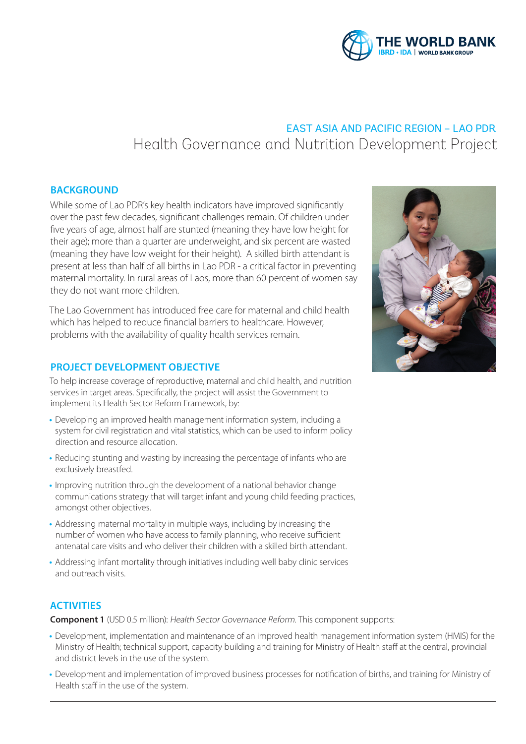

# EAST ASIA AND PACIFIC REGION – LAO PDR Health Governance and Nutrition Development Project

# **BACKGROUND**

While some of Lao PDR's key health indicators have improved significantly over the past few decades, significant challenges remain. Of children under five years of age, almost half are stunted (meaning they have low height for their age); more than a quarter are underweight, and six percent are wasted (meaning they have low weight for their height). A skilled birth attendant is present at less than half of all births in Lao PDR - a critical factor in preventing maternal mortality. In rural areas of Laos, more than 60 percent of women say they do not want more children.

The Lao Government has introduced free care for maternal and child health which has helped to reduce financial barriers to healthcare. However, problems with the availability of quality health services remain.

### **PROJECT DEVELOPMENT OBJECTIVE**

To help increase coverage of reproductive, maternal and child health, and nutrition services in target areas. Specifically, the project will assist the Government to implement its Health Sector Reform Framework, by:

- **•** Developing an improved health management information system, including a system for civil registration and vital statistics, which can be used to inform policy direction and resource allocation.
- **•** Reducing stunting and wasting by increasing the percentage of infants who are exclusively breastfed.
- **•** Improving nutrition through the development of a national behavior change communications strategy that will target infant and young child feeding practices, amongst other objectives.
- **•** Addressing maternal mortality in multiple ways, including by increasing the number of women who have access to family planning, who receive sufficient antenatal care visits and who deliver their children with a skilled birth attendant.
- **•** Addressing infant mortality through initiatives including well baby clinic services and outreach visits.

### **ACTIVITIES**

**Component 1** (USD 0.5 million): Health Sector Governance Reform. This component supports:

- *•* Development, implementation and maintenance of an improved health management information system (HMIS) for the Ministry of Health; technical support, capacity building and training for Ministry of Health staff at the central, provincial and district levels in the use of the system.
- *•* Development and implementation of improved business processes for notification of births, and training for Ministry of Health staff in the use of the system.